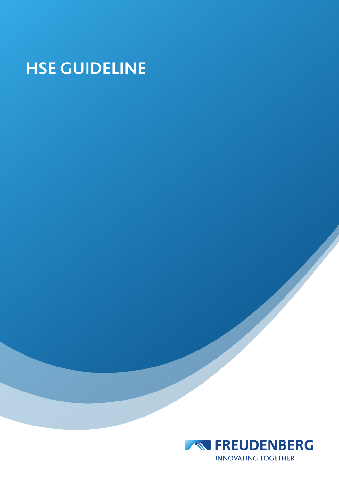# **HSE GUIDELINE**

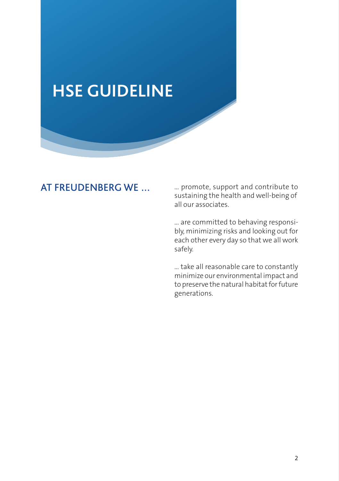## **HSE GUIDELINE**

#### AT FREUDENBERG WE

… promote, support and contribute to sustaining the health and well-being of all our associates.

… are committed to behaving responsibly, minimizing risks and looking out for each other every day so that we all work safely.

… take all reasonable care to constantly minimize our environmental impact and to preserve the natural habitat for future generations.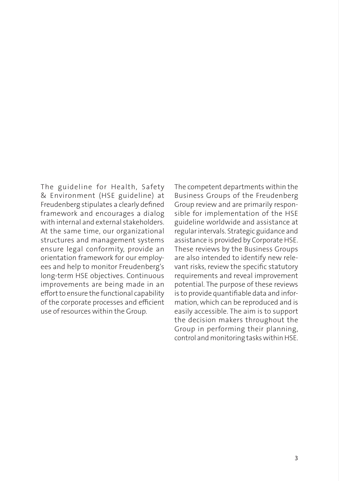The guideline for Health, Safety & Environment (HSE guideline) at Freudenberg stipulates a clearly defined framework and encourages a dialog with internal and external stakeholders. At the same time, our organizational structures and management systems ensure legal conformity, provide an orientation framework for our employees and help to monitor Freudenberg's long-term HSE objectives. Continuous improvements are being made in an effort to ensure the functional capability of the corporate processes and efficient use of resources within the Group.

The competent departments within the Business Groups of the Freudenberg Group review and are primarily responsible for implementation of the HSE guideline worldwide and assistance at regular intervals. Strategic guidance and assistance is provided by Corporate HSE. These reviews by the Business Groups are also intended to identify new relevant risks, review the specific statutory requirements and reveal improvement potential. The purpose of these reviews is to provide quantifiable data and information, which can be reproduced and is easily accessible. The aim is to support the decision makers throughout the Group in performing their planning, control and monitoring tasks within HSE.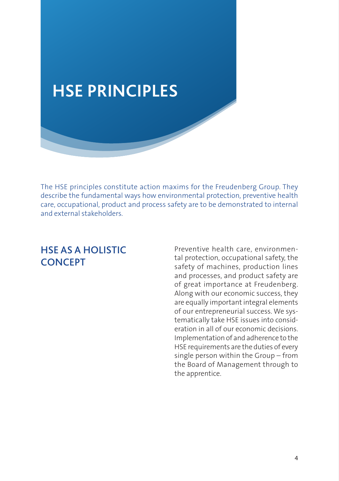

The HSE principles constitute action maxims for the Freudenberg Group. They describe the fundamental ways how environmental protection, preventive health care, occupational, product and process safety are to be demonstrated to internal and external stakeholders.

#### HSE AS A HOLISTIC **CONCEPT**

Preventive health care, environmental protection, occupational safety, the safety of machines, production lines and processes, and product safety are of great importance at Freudenberg. Along with our economic success, they are equally important integral elements of our entrepreneurial success. We systematically take HSE issues into consideration in all of our economic decisions. Implementation of and adherence to the HSE requirements are the duties of every single person within the Group – from the Board of Management through to the apprentice.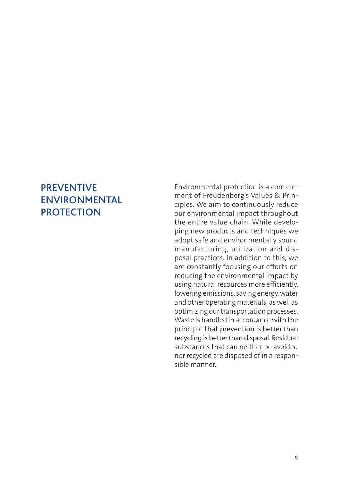#### **PREVENTIVE** ENVIRONMENTAL **PROTECTION**

Environmental protection is a core element of Freudenberg's Values & Principles. We aim to continuously reduce our environmental impact throughout the entire value chain. While developing new products and techniques we adopt safe and environmentally sound manufacturing, utilization and disposal practices. In addition to this, we are constantly focusing our efforts on reducing the environmental impact by using natural resources more efficiently, lowering emissions, saving energy, water and other operating materials, as well as optimizing our transportation processes. Waste is handled in accordance with the principle that prevention is better than recycling is better than disposal. Residual substances that can neither be avoided nor recycled are disposed of in a responsible manner.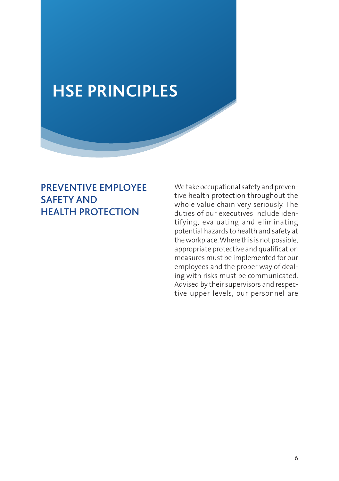### **HSE PRINCIPLES**

#### PREVENTIVE EMPLOYEE SAFETY AND HEALTH PROTECTION

We take occupational safety and preventive health protection throughout the whole value chain very seriously. The duties of our executives include identifying, evaluating and eliminating potential hazards to health and safety at the workplace. Where this is not possible, appropriate protective and qualification measures must be implemented for our employees and the proper way of dealing with risks must be communicated. Advised by their supervisors and respective upper levels, our personnel are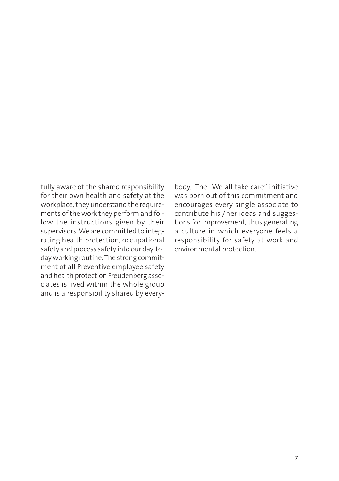fully aware of the shared responsibility for their own health and safety at the workplace, they understand the requirements of the work they perform and follow the instructions given by their supervisors. We are committed to integrating health protection, occupational safety and process safety into our day-today working routine. The strong commitment of all Preventive employee safety and health protection Freudenberg associates is lived within the whole group and is a responsibility shared by everybody. The "We all take care" initiative was born out of this commitment and encourages every single associate to contribute his / her ideas and suggestions for improvement, thus generating a culture in which everyone feels a responsibility for safety at work and environmental protection.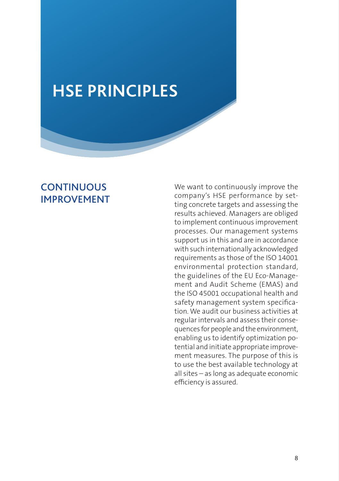### **HSE PRINCIPLES**

#### **CONTINUOUS** IMPROVEMENT

We want to continuously improve the company's HSE performance by setting concrete targets and assessing the results achieved. Managers are obliged to implement continuous improvement processes. Our management systems support us in this and are in accordance with such internationally acknowledged requirements as those of the ISO 14001 environmental protection standard, the guidelines of the EU Eco-Management and Audit Scheme (EMAS) and the ISO 45001 occupational health and safety management system specification. We audit our business activities at regular intervals and assess their consequences for people and the environment, enabling us to identify optimization potential and initiate appropriate improvement measures. The purpose of this is to use the best available technology at all sites – as long as adequate economic efficiency is assured.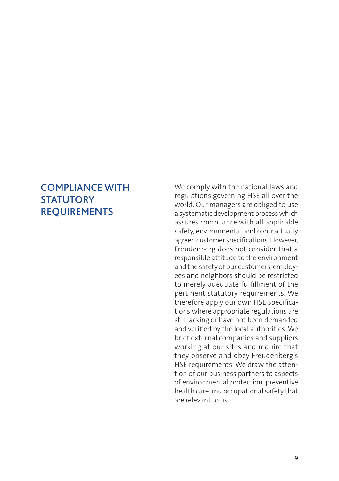#### COMPLIANCE WITH **STATUTORY** REQUIREMENTS

We comply with the national laws and regulations governing HSE all over the world. Our managers are obliged to use a systematic development process which assures compliance with all applicable safety, environmental and contractually agreed customer specifications. However, Freudenberg does not consider that a responsible attitude to the environment and the safety of our customers, employees and neighbors should be restricted to merely adequate fulfillment of the pertinent statutory requirements. We therefore apply our own HSE specifications where appropriate regulations are still lacking or have not been demanded and verified by the local authorities. We brief external companies and suppliers working at our sites and require that they observe and obey Freudenberg's HSE requirements. We draw the attention of our business partners to aspects of environmental protection, preventive health care and occupational safety that are relevant to us.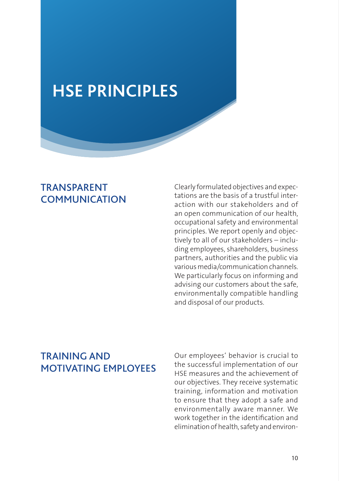### **HSE PRINCIPLES**

#### TRANSPARENT **COMMUNICATION**

Clearly formulated objectives and expectations are the basis of a trustful interaction with our stakeholders and of an open communication of our health occupational safety and environmental principles. We report openly and objectively to all of our stakeholders – including employees, shareholders, business partners, authorities and the public via various media/communication channels. We particularly focus on informing and advising our customers about the safe, environmentally compatible handling and disposal of our products.

### TRAINING AND MOTIVATING EMPLOYEES

Our employees' behavior is crucial to the successful implementation of our HSE measures and the achievement of our objectives. They receive systematic training, information and motivation to ensure that they adopt a safe and environmentally aware manner. We work together in the identification and elimination of health, safety and environ-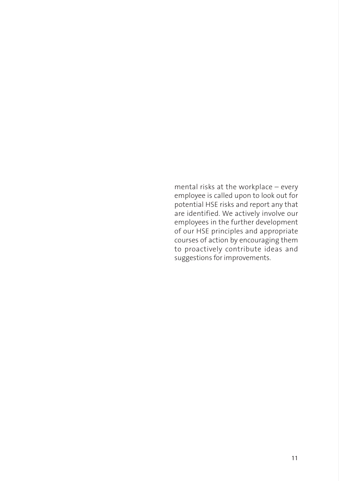mental risks at the workplace – every employee is called upon to look out for potential HSE risks and report any that are identified. We actively involve our employees in the further development of our HSE principles and appropriate courses of action by encouraging them to proactively contribute ideas and suggestions for improvements.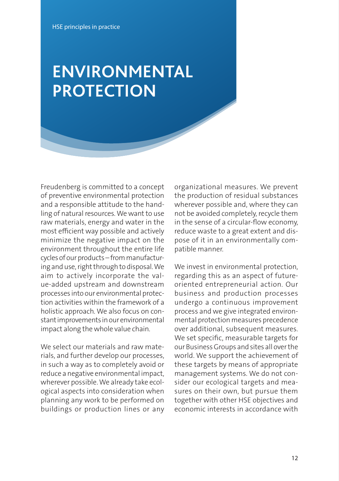### **ENVIRONMENTAL PROTECTION**

Freudenberg is committed to a concept of preventive environmental protection and a responsible attitude to the handling of natural resources. We want to use raw materials, energy and water in the most efficient way possible and actively minimize the negative impact on the environment throughout the entire life cycles of our products – from manufacturing and use, right through to disposal. We aim to actively incorporate the value-added upstream and downstream processes into our environmental protection activities within the framework of a holistic approach. We also focus on constant improvements in our environmental impact along the whole value chain.

We select our materials and raw materials, and further develop our processes, in such a way as to completely avoid or reduce a negative environmental impact, wherever possible. We already take ecological aspects into consideration when planning any work to be performed on buildings or production lines or any

organizational measures. We prevent the production of residual substances wherever possible and, where they can not be avoided completely, recycle them in the sense of a circular-flow economy, reduce waste to a great extent and dispose of it in an environmentally compatible manner.

We invest in environmental protection, regarding this as an aspect of futureoriented entrepreneurial action. Our business and production processes undergo a continuous improvement process and we give integrated environmental protection measures precedence over additional, subsequent measures. We set specific, measurable targets for our Business Groups and sites all over the world. We support the achievement of these targets by means of appropriate management systems. We do not consider our ecological targets and measures on their own, but pursue them together with other HSE objectives and economic interests in accordance with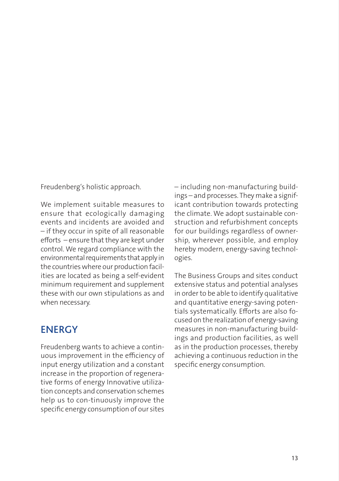Freudenberg's holistic approach.

We implement suitable measures to ensure that ecologically damaging events and incidents are avoided and – if they occur in spite of all reasonable efforts – ensure that they are kept under control. We regard compliance with the environmental requirements that apply in the countries where our production facilities are located as being a self-evident minimum requirement and supplement these with our own stipulations as and when necessary.

#### **ENERGY**

Freudenberg wants to achieve a continuous improvement in the efficiency of input energy utilization and a constant increase in the proportion of regenerative forms of energy Innovative utilization concepts and conservation schemes help us to con-tinuously improve the specific energy consumption of our sites – including non-manufacturing buildings – and processes. They make a significant contribution towards protecting the climate. We adopt sustainable construction and refurbishment concepts for our buildings regardless of ownership, wherever possible, and employ hereby modern, energy-saving technologies.

The Business Groups and sites conduct extensive status and potential analyses in order to be able to identify qualitative and quantitative energy-saving potentials systematically. Efforts are also focused on the realization of energy-saving measures in non-manufacturing buildings and production facilities, as well as in the production processes, thereby achieving a continuous reduction in the specific energy consumption.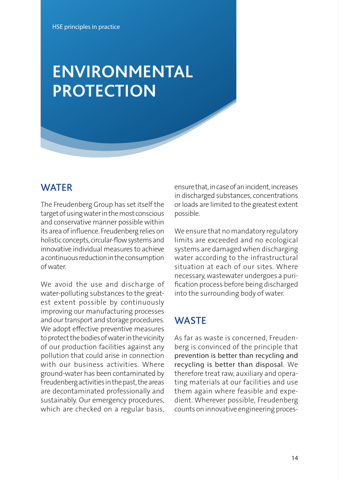## **ENVIRONMENTAL PROTECTION**

#### **WATER**

The Freudenberg Group has set itself the target of using water in the most conscious and conservative manner possible within its area of influence. Freudenberg relies on holistic concepts, circular-flow systems and innovative individual measures to achieve a continuous reduction in the consumption of water.

We avoid the use and discharge of water-polluting substances to the greatest extent possible by continuously improving our manufacturing processes and our transport and storage procedures. We adopt effective preventive measures to protect the bodies of water in the vicinity of our production facilities against any pollution that could arise in connection with our business activities. Where ground-water has been contaminated by Freudenberg activities in the past, the areas are decontaminated professionally and sustainably. Our emergency procedures, which are checked on a regular basis,

ensure that, in case of an incident, increases in discharged substances, concentrations or loads are limited to the greatest extent possible.

We ensure that no mandatory regulatory limits are exceeded and no ecological systems are damaged when discharging water according to the infrastructural situation at each of our sites. Where necessary, wastewater undergoes a purification process before being discharged into the surrounding body of water.

#### **WASTE**

As far as waste is concerned, Freudenberg is convinced of the principle that prevention is better than recycling and recycling is better than disposal. We therefore treat raw, auxiliary and operating materials at our facilities and use them again where feasible and expedient. Wherever possible, Freudenberg counts on innovative engineering proces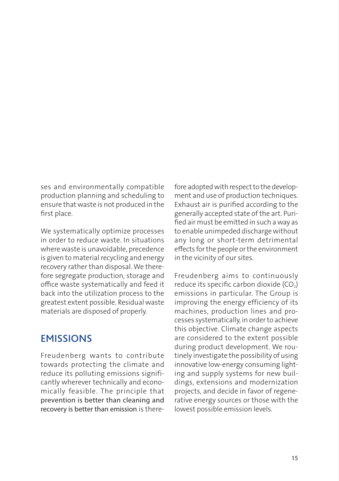ses and environmentally compatible production planning and scheduling to ensure that waste is not produced in the first place.

We systematically optimize processes in order to reduce waste. In situations where waste is unavoidable, precedence is given to material recycling and energy recovery rather than disposal. We therefore segregate production, storage and office waste systematically and feed it back into the utilization process to the greatest extent possible. Residual waste materials are disposed of properly.

#### **EMISSIONS**

Freudenberg wants to contribute towards protecting the climate and reduce its polluting emissions significantly wherever technically and economically feasible. The principle that prevention is better than cleaning and recovery is better than emission is therefore adopted with respect to the development and use of production techniques. Exhaust air is purified according to the generally accepted state of the art. Purified air must be emitted in such a way as to enable unimpeded discharge without any long or short-term detrimental effects for the people or the environment in the vicinity of our sites.

Freudenberg aims to continuously reduce its specific carbon dioxide  $(CO<sub>2</sub>)$ emissions in particular. The Group is improving the energy efficiency of its machines, production lines and processes systematically, in order to achieve this objective. Climate change aspects are considered to the extent possible during product development. We routinely investigate the possibility of using innovative low-energy consuming lighting and supply systems for new buildings, extensions and modernization projects, and decide in favor of regenerative energy sources or those with the lowest possible emission levels.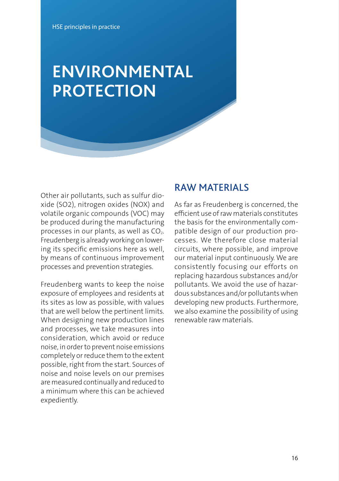## **ENVIRONMENTAL PROTECTION**

Other air pollutants, such as sulfur dioxide (SO2), nitrogen oxides (NOX) and volatile organic compounds (VOC) may be produced during the manufacturing processes in our plants, as well as  $CO<sub>2</sub>$ . Freudenberg is already working on lowering its specific emissions here as well, by means of continuous improvement processes and prevention strategies.

Freudenberg wants to keep the noise exposure of employees and residents at its sites as low as possible, with values that are well below the pertinent limits. When designing new production lines and processes, we take measures into consideration, which avoid or reduce noise, in order to prevent noise emissions completely or reduce them to the extent possible, right from the start. Sources of noise and noise levels on our premises are measured continually and reduced to a minimum where this can be achieved expediently.

#### RAW MATERIALS

As far as Freudenberg is concerned, the efficient use of raw materials constitutes the basis for the environmentally compatible design of our production processes. We therefore close material circuits, where possible, and improve our material input continuously. We are consistently focusing our efforts on replacing hazardous substances and/or pollutants. We avoid the use of hazardous substances and/or pollutants when developing new products. Furthermore, we also examine the possibility of using renewable raw materials.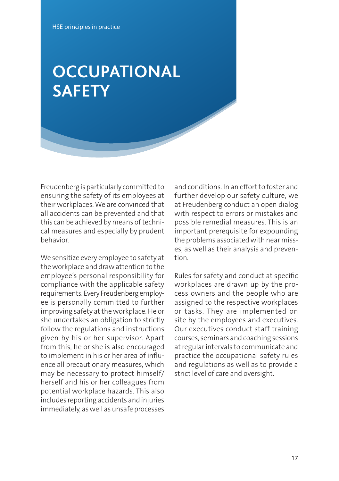## **OCCUPATIONAL SAFETY**

Freudenberg is particularly committed to ensuring the safety of its employees at their workplaces. We are convinced that all accidents can be prevented and that this can be achieved by means of technical measures and especially by prudent behavior.

We sensitize every employee to safety at the workplace and draw attention to the employee's personal responsibility for compliance with the applicable safety requirements. Every Freudenberg employee is personally committed to further improving safety at the workplace. He or she undertakes an obligation to strictly follow the regulations and instructions given by his or her supervisor. Apart from this, he or she is also encouraged to implement in his or her area of influence all precautionary measures, which may be necessary to protect himself/ herself and his or her colleagues from potential workplace hazards. This also includes reporting accidents and injuries immediately, as well as unsafe processes

and conditions. In an effort to foster and further develop our safety culture, we at Freudenberg conduct an open dialog with respect to errors or mistakes and possible remedial measures. This is an important prerequisite for expounding the problems associated with near misses, as well as their analysis and prevention.

Rules for safety and conduct at specific workplaces are drawn up by the process owners and the people who are assigned to the respective workplaces or tasks. They are implemented on site by the employees and executives. Our executives conduct staff training courses, seminars and coaching sessions at regular intervals to communicate and practice the occupational safety rules and regulations as well as to provide a strict level of care and oversight.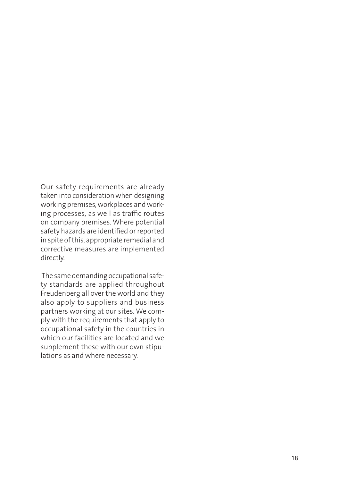Our safety requirements are already taken into consideration when designing working premises, workplaces and working processes, as well as traffic routes on company premises. Where potential safety hazards are identified or reported in spite of this, appropriate remedial and corrective measures are implemented directly.

 The same demanding occupational safety standards are applied throughout Freudenberg all over the world and they also apply to suppliers and business partners working at our sites. We comply with the requirements that apply to occupational safety in the countries in which our facilities are located and we supplement these with our own stipulations as and where necessary.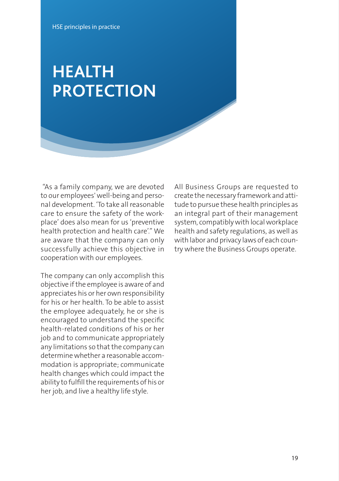### **HEALTH PROTECTION**

 "As a family company, we are devoted to our employees' well-being and personal development. 'To take all reasonable care to ensure the safety of the workplace' does also mean for us 'preventive health protection and health care'." We are aware that the company can only successfully achieve this objective in cooperation with our employees.

The company can only accomplish this objective if the employee is aware of and appreciates his or her own responsibility for his or her health. To be able to assist the employee adequately, he or she is encouraged to understand the specific health-related conditions of his or her job and to communicate appropriately any limitations so that the company can determine whether a reasonable accommodation is appropriate; communicate health changes which could impact the ability to fulfill the requirements of his or her job, and live a healthy life style.

All Business Groups are requested to create the necessary framework and attitude to pursue these health principles as an integral part of their management system, compatibly with local workplace health and safety regulations, as well as with labor and privacy laws of each country where the Business Groups operate.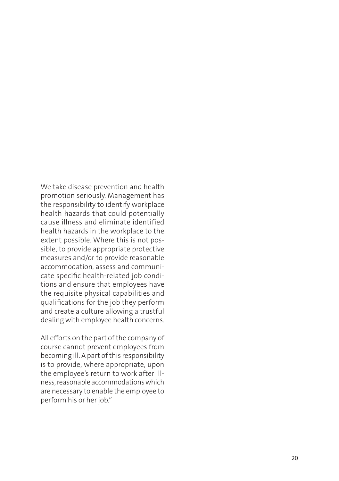We take disease prevention and health promotion seriously. Management has the responsibility to identify workplace health hazards that could potentially cause illness and eliminate identified health hazards in the workplace to the extent possible. Where this is not pos sible, to provide appropriate protective measures and/or to provide reasonable accommodation, assess and communi cate specific health-related job condi tions and ensure that employees have the requisite physical capabilities and qualifications for the job they perform and create a culture allowing a trustful dealing with employee health concerns.

All efforts on the part of the company of course cannot prevent employees from becoming ill. A part of this responsibility is to provide, where appropriate, upon the employee's return to work after ill ness, reasonable accommodations which are necessary to enable the employee to perform his or her job."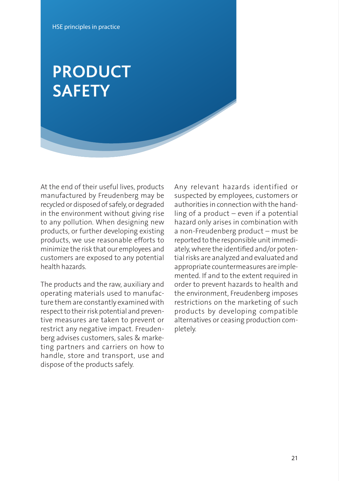### **PRODUCT SAFETY**

At the end of their useful lives, products manufactured by Freudenberg may be recycled or disposed of safely, or degraded in the environment without giving rise to any pollution. When designing new products, or further developing existing products, we use reasonable efforts to minimize the risk that our employees and customers are exposed to any potential health hazards.

The products and the raw, auxiliary and operating materials used to manufacture them are constantly examined with respect to their risk potential and preventive measures are taken to prevent or restrict any negative impact. Freudenberg advises customers, sales & marketing partners and carriers on how to handle, store and transport, use and dispose of the products safely.

Any relevant hazards identified or suspected by employees, customers or authorities in connection with the handling of a product – even if a potential hazard only arises in combination with a non-Freudenberg product – must be reported to the responsible unit immediately, where the identified and/or potential risks are analyzed and evaluated and appropriate countermeasures are implemented. If and to the extent required in order to prevent hazards to health and the environment, Freudenberg imposes restrictions on the marketing of such products by developing compatible alternatives or ceasing production completely.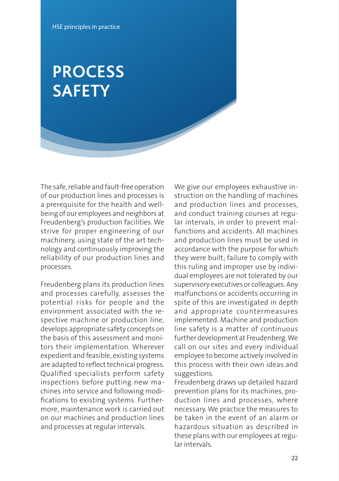## **PROCESS**  $\mathsf{SAFETY}$

The safe, reliable and fault-free operation of our production lines and processes is a prerequisite for the health and wellbeing of our employees and neighbors at Freudenberg's production facilities. We strive for proper engineering of our machinery, using state of the art technology and continuously improving the reliability of our production lines and processes.

Freudenberg plans its production lines and processes carefully, assesses the potential risks for people and the environment associated with the respective machine or production line, develops appropriate safety concepts on the basis of this assessment and monitors their implementation. Wherever expedient and feasible, existing systems are adapted to reflect technical progress. Qualified specialists perform safety inspections before putting new machines into service and following modifications to existing systems. Furthermore, maintenance work is carried out on our machines and production lines and processes at regular intervals.

We give our employees exhaustive instruction on the handling of machines and production lines and processes, and conduct training courses at regular intervals, in order to prevent malfunctions and accidents. All machines and production lines must be used in accordance with the purpose for which they were built; failure to comply with this ruling and improper use by individual employees are not tolerated by our supervisory executives or colleagues. Any malfunctions or accidents occurring in spite of this are investigated in depth and appropriate countermeasures implemented. Machine and production line safety is a matter of continuous further development at Freudenberg. We call on our sites and every individual employee to become actively involved in this process with their own ideas and suggestions.

Freudenberg draws up detailed hazard prevention plans for its machines, production lines and processes, where necessary. We practice the measures to be taken in the event of an alarm or hazardous situation as described in these plans with our employees at regular intervals.